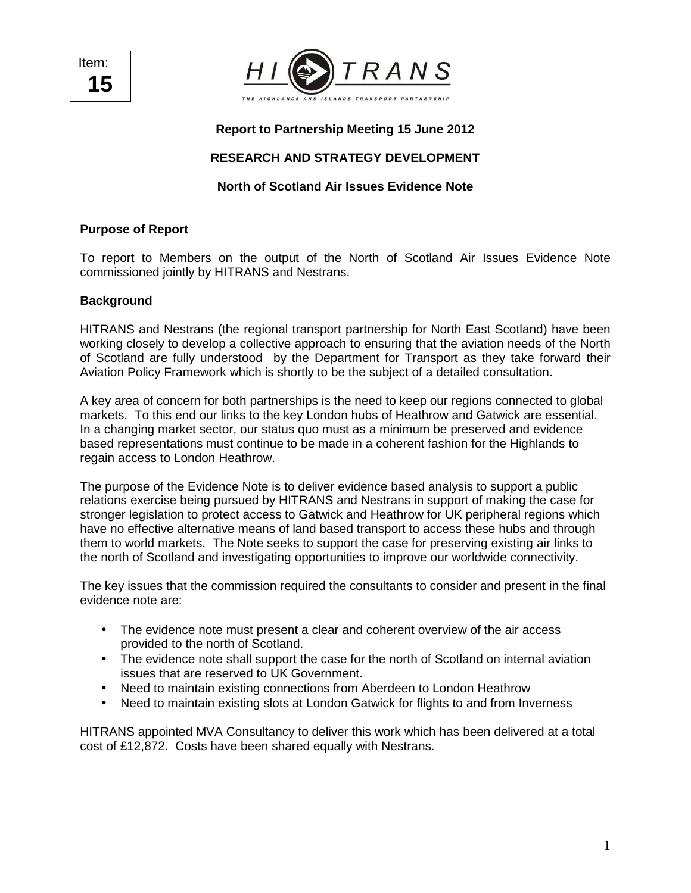Item: **15** 



### **Report to Partnership Meeting 15 June 2012**

### **RESEARCH AND STRATEGY DEVELOPMENT**

### **North of Scotland Air Issues Evidence Note**

#### **Purpose of Report**

To report to Members on the output of the North of Scotland Air Issues Evidence Note commissioned jointly by HITRANS and Nestrans.

#### **Background**

HITRANS and Nestrans (the regional transport partnership for North East Scotland) have been working closely to develop a collective approach to ensuring that the aviation needs of the North of Scotland are fully understood by the Department for Transport as they take forward their Aviation Policy Framework which is shortly to be the subject of a detailed consultation.

A key area of concern for both partnerships is the need to keep our regions connected to global markets. To this end our links to the key London hubs of Heathrow and Gatwick are essential. In a changing market sector, our status quo must as a minimum be preserved and evidence based representations must continue to be made in a coherent fashion for the Highlands to regain access to London Heathrow.

The purpose of the Evidence Note is to deliver evidence based analysis to support a public relations exercise being pursued by HITRANS and Nestrans in support of making the case for stronger legislation to protect access to Gatwick and Heathrow for UK peripheral regions which have no effective alternative means of land based transport to access these hubs and through them to world markets. The Note seeks to support the case for preserving existing air links to the north of Scotland and investigating opportunities to improve our worldwide connectivity.

The key issues that the commission required the consultants to consider and present in the final evidence note are:

- The evidence note must present a clear and coherent overview of the air access provided to the north of Scotland.
- The evidence note shall support the case for the north of Scotland on internal aviation issues that are reserved to UK Government.
- Need to maintain existing connections from Aberdeen to London Heathrow
- Need to maintain existing slots at London Gatwick for flights to and from Inverness

HITRANS appointed MVA Consultancy to deliver this work which has been delivered at a total cost of £12,872. Costs have been shared equally with Nestrans.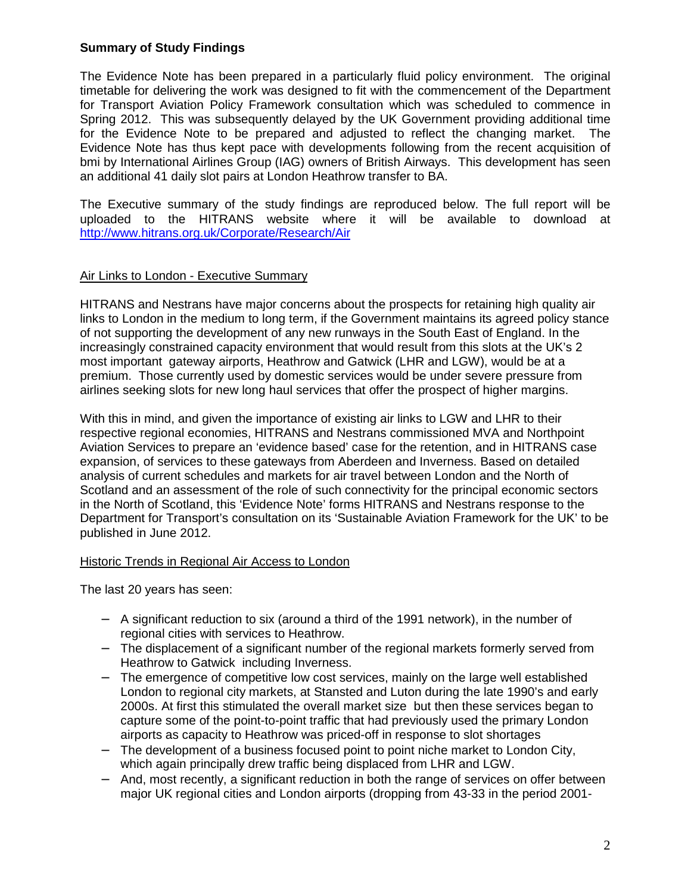### **Summary of Study Findings**

The Evidence Note has been prepared in a particularly fluid policy environment. The original timetable for delivering the work was designed to fit with the commencement of the Department for Transport Aviation Policy Framework consultation which was scheduled to commence in Spring 2012. This was subsequently delayed by the UK Government providing additional time for the Evidence Note to be prepared and adjusted to reflect the changing market. The Evidence Note has thus kept pace with developments following from the recent acquisition of bmi by International Airlines Group (IAG) owners of British Airways. This development has seen an additional 41 daily slot pairs at London Heathrow transfer to BA.

The Executive summary of the study findings are reproduced below. The full report will be uploaded to the HITRANS website where it will be available to download at http://www.hitrans.org.uk/Corporate/Research/Air

### Air Links to London - Executive Summary

HITRANS and Nestrans have major concerns about the prospects for retaining high quality air links to London in the medium to long term, if the Government maintains its agreed policy stance of not supporting the development of any new runways in the South East of England. In the increasingly constrained capacity environment that would result from this slots at the UK's 2 most important gateway airports, Heathrow and Gatwick (LHR and LGW), would be at a premium. Those currently used by domestic services would be under severe pressure from airlines seeking slots for new long haul services that offer the prospect of higher margins.

With this in mind, and given the importance of existing air links to LGW and LHR to their respective regional economies, HITRANS and Nestrans commissioned MVA and Northpoint Aviation Services to prepare an 'evidence based' case for the retention, and in HITRANS case expansion, of services to these gateways from Aberdeen and Inverness. Based on detailed analysis of current schedules and markets for air travel between London and the North of Scotland and an assessment of the role of such connectivity for the principal economic sectors in the North of Scotland, this 'Evidence Note' forms HITRANS and Nestrans response to the Department for Transport's consultation on its 'Sustainable Aviation Framework for the UK' to be published in June 2012.

#### Historic Trends in Regional Air Access to London

The last 20 years has seen:

- − A significant reduction to six (around a third of the 1991 network), in the number of regional cities with services to Heathrow.
- − The displacement of a significant number of the regional markets formerly served from Heathrow to Gatwick including Inverness.
- The emergence of competitive low cost services, mainly on the large well established London to regional city markets, at Stansted and Luton during the late 1990's and early 2000s. At first this stimulated the overall market size but then these services began to capture some of the point-to-point traffic that had previously used the primary London airports as capacity to Heathrow was priced-off in response to slot shortages
- The development of a business focused point to point niche market to London City, which again principally drew traffic being displaced from LHR and LGW.
- And, most recently, a significant reduction in both the range of services on offer between major UK regional cities and London airports (dropping from 43-33 in the period 2001-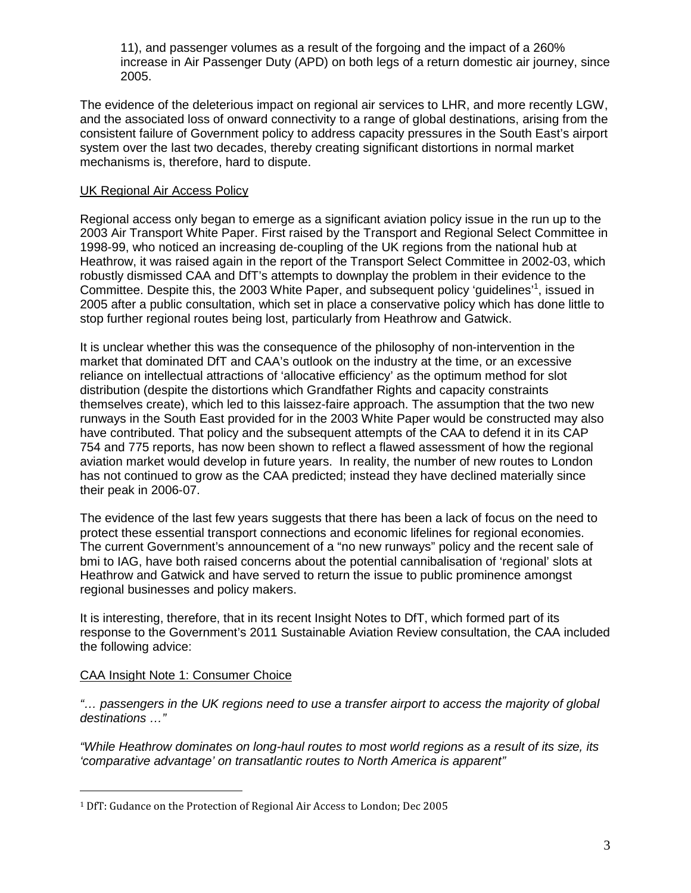11), and passenger volumes as a result of the forgoing and the impact of a 260% increase in Air Passenger Duty (APD) on both legs of a return domestic air journey, since 2005.

The evidence of the deleterious impact on regional air services to LHR, and more recently LGW, and the associated loss of onward connectivity to a range of global destinations, arising from the consistent failure of Government policy to address capacity pressures in the South East's airport system over the last two decades, thereby creating significant distortions in normal market mechanisms is, therefore, hard to dispute.

### UK Regional Air Access Policy

Regional access only began to emerge as a significant aviation policy issue in the run up to the 2003 Air Transport White Paper. First raised by the Transport and Regional Select Committee in 1998-99, who noticed an increasing de-coupling of the UK regions from the national hub at Heathrow, it was raised again in the report of the Transport Select Committee in 2002-03, which robustly dismissed CAA and DfT's attempts to downplay the problem in their evidence to the Committee. Despite this, the 2003 White Paper, and subsequent policy 'guidelines'<sup>1</sup>, issued in 2005 after a public consultation, which set in place a conservative policy which has done little to stop further regional routes being lost, particularly from Heathrow and Gatwick.

It is unclear whether this was the consequence of the philosophy of non-intervention in the market that dominated DfT and CAA's outlook on the industry at the time, or an excessive reliance on intellectual attractions of 'allocative efficiency' as the optimum method for slot distribution (despite the distortions which Grandfather Rights and capacity constraints themselves create), which led to this laissez-faire approach. The assumption that the two new runways in the South East provided for in the 2003 White Paper would be constructed may also have contributed. That policy and the subsequent attempts of the CAA to defend it in its CAP 754 and 775 reports, has now been shown to reflect a flawed assessment of how the regional aviation market would develop in future years. In reality, the number of new routes to London has not continued to grow as the CAA predicted; instead they have declined materially since their peak in 2006-07.

The evidence of the last few years suggests that there has been a lack of focus on the need to protect these essential transport connections and economic lifelines for regional economies. The current Government's announcement of a "no new runways" policy and the recent sale of bmi to IAG, have both raised concerns about the potential cannibalisation of 'regional' slots at Heathrow and Gatwick and have served to return the issue to public prominence amongst regional businesses and policy makers.

It is interesting, therefore, that in its recent Insight Notes to DfT, which formed part of its response to the Government's 2011 Sustainable Aviation Review consultation, the CAA included the following advice:

### CAA Insight Note 1: Consumer Choice

 $\overline{a}$ 

"… passengers in the UK regions need to use a transfer airport to access the majority of global destinations …"

"While Heathrow dominates on long-haul routes to most world regions as a result of its size, its 'comparative advantage' on transatlantic routes to North America is apparent"

<sup>1</sup> DfT: Gudance on the Protection of Regional Air Access to London; Dec 2005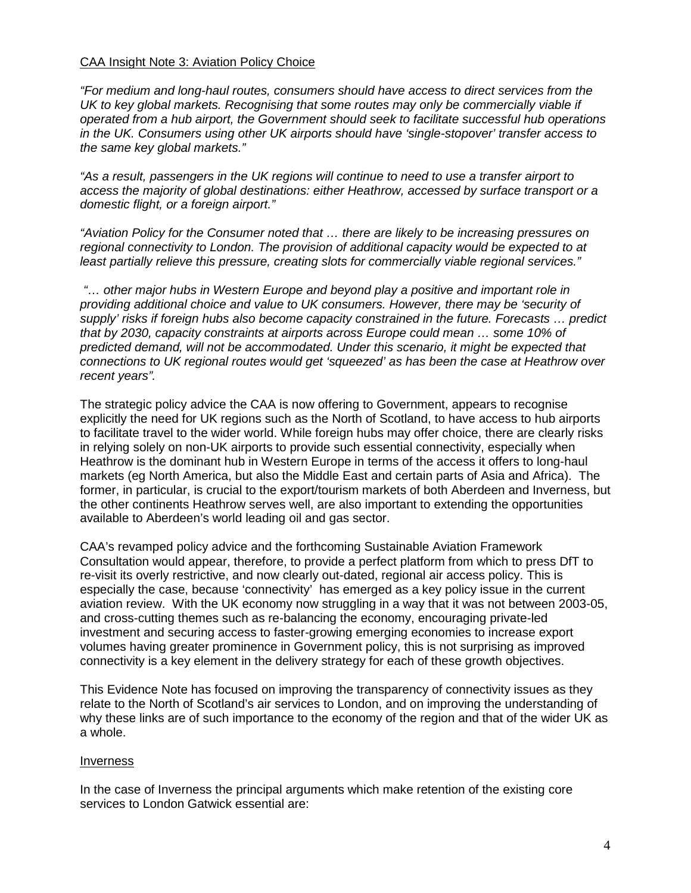#### CAA Insight Note 3: Aviation Policy Choice

"For medium and long-haul routes, consumers should have access to direct services from the UK to key global markets. Recognising that some routes may only be commercially viable if operated from a hub airport, the Government should seek to facilitate successful hub operations in the UK. Consumers using other UK airports should have 'single-stopover' transfer access to the same key global markets."

"As a result, passengers in the UK regions will continue to need to use a transfer airport to access the majority of global destinations: either Heathrow, accessed by surface transport or a domestic flight, or a foreign airport."

"Aviation Policy for the Consumer noted that … there are likely to be increasing pressures on regional connectivity to London. The provision of additional capacity would be expected to at least partially relieve this pressure, creating slots for commercially viable regional services."

 "… other major hubs in Western Europe and beyond play a positive and important role in providing additional choice and value to UK consumers. However, there may be 'security of supply' risks if foreign hubs also become capacity constrained in the future. Forecasts … predict that by 2030, capacity constraints at airports across Europe could mean … some 10% of predicted demand, will not be accommodated. Under this scenario, it might be expected that connections to UK regional routes would get 'squeezed' as has been the case at Heathrow over recent years".

The strategic policy advice the CAA is now offering to Government, appears to recognise explicitly the need for UK regions such as the North of Scotland, to have access to hub airports to facilitate travel to the wider world. While foreign hubs may offer choice, there are clearly risks in relying solely on non-UK airports to provide such essential connectivity, especially when Heathrow is the dominant hub in Western Europe in terms of the access it offers to long-haul markets (eg North America, but also the Middle East and certain parts of Asia and Africa). The former, in particular, is crucial to the export/tourism markets of both Aberdeen and Inverness, but the other continents Heathrow serves well, are also important to extending the opportunities available to Aberdeen's world leading oil and gas sector.

CAA's revamped policy advice and the forthcoming Sustainable Aviation Framework Consultation would appear, therefore, to provide a perfect platform from which to press DfT to re-visit its overly restrictive, and now clearly out-dated, regional air access policy. This is especially the case, because 'connectivity' has emerged as a key policy issue in the current aviation review. With the UK economy now struggling in a way that it was not between 2003-05, and cross-cutting themes such as re-balancing the economy, encouraging private-led investment and securing access to faster-growing emerging economies to increase export volumes having greater prominence in Government policy, this is not surprising as improved connectivity is a key element in the delivery strategy for each of these growth objectives.

This Evidence Note has focused on improving the transparency of connectivity issues as they relate to the North of Scotland's air services to London, and on improving the understanding of why these links are of such importance to the economy of the region and that of the wider UK as a whole.

#### Inverness

In the case of Inverness the principal arguments which make retention of the existing core services to London Gatwick essential are: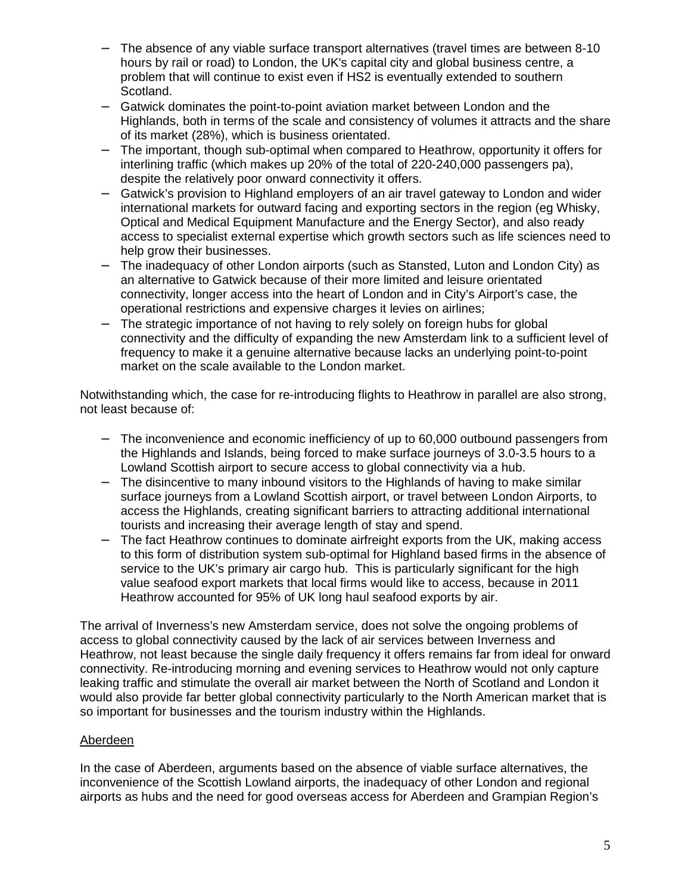- The absence of any viable surface transport alternatives (travel times are between 8-10 hours by rail or road) to London, the UK's capital city and global business centre, a problem that will continue to exist even if HS2 is eventually extended to southern Scotland.
- − Gatwick dominates the point-to-point aviation market between London and the Highlands, both in terms of the scale and consistency of volumes it attracts and the share of its market (28%), which is business orientated.
- − The important, though sub-optimal when compared to Heathrow, opportunity it offers for interlining traffic (which makes up 20% of the total of 220-240,000 passengers pa), despite the relatively poor onward connectivity it offers.
- Gatwick's provision to Highland employers of an air travel gateway to London and wider international markets for outward facing and exporting sectors in the region (eg Whisky, Optical and Medical Equipment Manufacture and the Energy Sector), and also ready access to specialist external expertise which growth sectors such as life sciences need to help grow their businesses.
- − The inadequacy of other London airports (such as Stansted, Luton and London City) as an alternative to Gatwick because of their more limited and leisure orientated connectivity, longer access into the heart of London and in City's Airport's case, the operational restrictions and expensive charges it levies on airlines;
- The strategic importance of not having to rely solely on foreign hubs for global connectivity and the difficulty of expanding the new Amsterdam link to a sufficient level of frequency to make it a genuine alternative because lacks an underlying point-to-point market on the scale available to the London market.

Notwithstanding which, the case for re-introducing flights to Heathrow in parallel are also strong, not least because of:

- The inconvenience and economic inefficiency of up to 60,000 outbound passengers from the Highlands and Islands, being forced to make surface journeys of 3.0-3.5 hours to a Lowland Scottish airport to secure access to global connectivity via a hub.
- − The disincentive to many inbound visitors to the Highlands of having to make similar surface journeys from a Lowland Scottish airport, or travel between London Airports, to access the Highlands, creating significant barriers to attracting additional international tourists and increasing their average length of stay and spend.
- − The fact Heathrow continues to dominate airfreight exports from the UK, making access to this form of distribution system sub-optimal for Highland based firms in the absence of service to the UK's primary air cargo hub. This is particularly significant for the high value seafood export markets that local firms would like to access, because in 2011 Heathrow accounted for 95% of UK long haul seafood exports by air.

The arrival of Inverness's new Amsterdam service, does not solve the ongoing problems of access to global connectivity caused by the lack of air services between Inverness and Heathrow, not least because the single daily frequency it offers remains far from ideal for onward connectivity. Re-introducing morning and evening services to Heathrow would not only capture leaking traffic and stimulate the overall air market between the North of Scotland and London it would also provide far better global connectivity particularly to the North American market that is so important for businesses and the tourism industry within the Highlands.

# Aberdeen

In the case of Aberdeen, arguments based on the absence of viable surface alternatives, the inconvenience of the Scottish Lowland airports, the inadequacy of other London and regional airports as hubs and the need for good overseas access for Aberdeen and Grampian Region's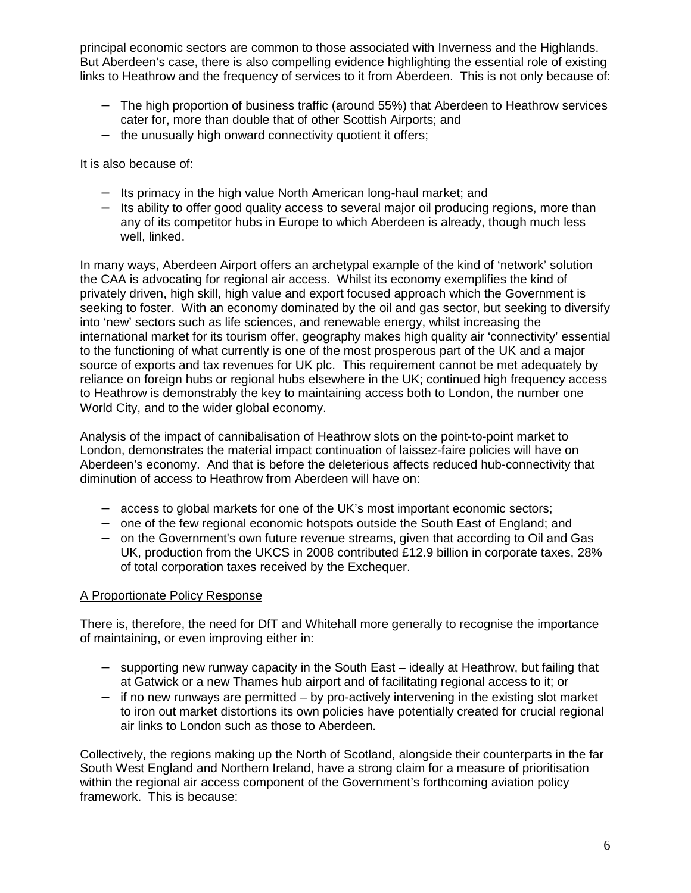principal economic sectors are common to those associated with Inverness and the Highlands. But Aberdeen's case, there is also compelling evidence highlighting the essential role of existing links to Heathrow and the frequency of services to it from Aberdeen. This is not only because of:

- − The high proportion of business traffic (around 55%) that Aberdeen to Heathrow services cater for, more than double that of other Scottish Airports; and
- − the unusually high onward connectivity quotient it offers;

It is also because of:

- − Its primacy in the high value North American long-haul market; and
- − Its ability to offer good quality access to several major oil producing regions, more than any of its competitor hubs in Europe to which Aberdeen is already, though much less well, linked.

In many ways, Aberdeen Airport offers an archetypal example of the kind of 'network' solution the CAA is advocating for regional air access. Whilst its economy exemplifies the kind of privately driven, high skill, high value and export focused approach which the Government is seeking to foster. With an economy dominated by the oil and gas sector, but seeking to diversify into 'new' sectors such as life sciences, and renewable energy, whilst increasing the international market for its tourism offer, geography makes high quality air 'connectivity' essential to the functioning of what currently is one of the most prosperous part of the UK and a major source of exports and tax revenues for UK plc. This requirement cannot be met adequately by reliance on foreign hubs or regional hubs elsewhere in the UK; continued high frequency access to Heathrow is demonstrably the key to maintaining access both to London, the number one World City, and to the wider global economy.

Analysis of the impact of cannibalisation of Heathrow slots on the point-to-point market to London, demonstrates the material impact continuation of laissez-faire policies will have on Aberdeen's economy. And that is before the deleterious affects reduced hub-connectivity that diminution of access to Heathrow from Aberdeen will have on:

- − access to global markets for one of the UK's most important economic sectors;
- − one of the few regional economic hotspots outside the South East of England; and
- − on the Government's own future revenue streams, given that according to Oil and Gas UK, production from the UKCS in 2008 contributed £12.9 billion in corporate taxes, 28% of total corporation taxes received by the Exchequer.

# A Proportionate Policy Response

There is, therefore, the need for DfT and Whitehall more generally to recognise the importance of maintaining, or even improving either in:

- − supporting new runway capacity in the South East ideally at Heathrow, but failing that at Gatwick or a new Thames hub airport and of facilitating regional access to it; or
- − if no new runways are permitted by pro-actively intervening in the existing slot market to iron out market distortions its own policies have potentially created for crucial regional air links to London such as those to Aberdeen.

Collectively, the regions making up the North of Scotland, alongside their counterparts in the far South West England and Northern Ireland, have a strong claim for a measure of prioritisation within the regional air access component of the Government's forthcoming aviation policy framework. This is because: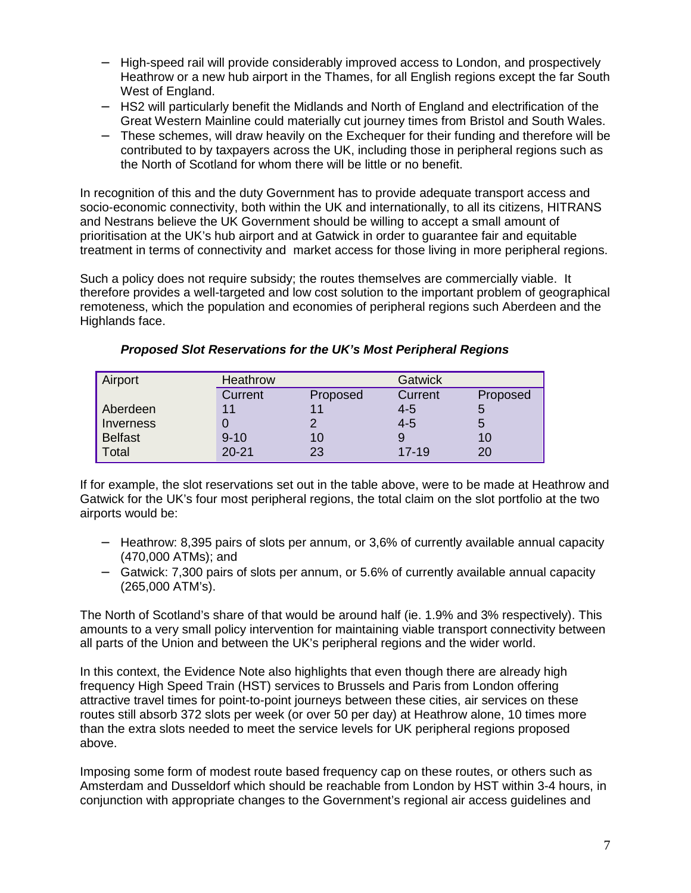- − High-speed rail will provide considerably improved access to London, and prospectively Heathrow or a new hub airport in the Thames, for all English regions except the far South West of England.
- − HS2 will particularly benefit the Midlands and North of England and electrification of the Great Western Mainline could materially cut journey times from Bristol and South Wales.
- − These schemes, will draw heavily on the Exchequer for their funding and therefore will be contributed to by taxpayers across the UK, including those in peripheral regions such as the North of Scotland for whom there will be little or no benefit.

In recognition of this and the duty Government has to provide adequate transport access and socio-economic connectivity, both within the UK and internationally, to all its citizens, HITRANS and Nestrans believe the UK Government should be willing to accept a small amount of prioritisation at the UK's hub airport and at Gatwick in order to guarantee fair and equitable treatment in terms of connectivity and market access for those living in more peripheral regions.

Such a policy does not require subsidy; the routes themselves are commercially viable. It therefore provides a well-targeted and low cost solution to the important problem of geographical remoteness, which the population and economies of peripheral regions such Aberdeen and the Highlands face.

| Airport        | <b>Heathrow</b> |          | <b>Gatwick</b> |          |
|----------------|-----------------|----------|----------------|----------|
|                | Current         | Proposed | Current        | Proposed |
| Aberdeen       | 11              |          | $4 - 5$        | Э        |
| Inverness      |                 |          | $4 - 5$        | b        |
| <b>Belfast</b> | $9 - 10$        | 10       |                | 10       |
| Total          | $20 - 21$       | 23       | $17-19$        | 20       |

### **Proposed Slot Reservations for the UK's Most Peripheral Regions**

If for example, the slot reservations set out in the table above, were to be made at Heathrow and Gatwick for the UK's four most peripheral regions, the total claim on the slot portfolio at the two airports would be:

- − Heathrow: 8,395 pairs of slots per annum, or 3,6% of currently available annual capacity (470,000 ATMs); and
- − Gatwick: 7,300 pairs of slots per annum, or 5.6% of currently available annual capacity (265,000 ATM's).

The North of Scotland's share of that would be around half (ie. 1.9% and 3% respectively). This amounts to a very small policy intervention for maintaining viable transport connectivity between all parts of the Union and between the UK's peripheral regions and the wider world.

In this context, the Evidence Note also highlights that even though there are already high frequency High Speed Train (HST) services to Brussels and Paris from London offering attractive travel times for point-to-point journeys between these cities, air services on these routes still absorb 372 slots per week (or over 50 per day) at Heathrow alone, 10 times more than the extra slots needed to meet the service levels for UK peripheral regions proposed above.

Imposing some form of modest route based frequency cap on these routes, or others such as Amsterdam and Dusseldorf which should be reachable from London by HST within 3-4 hours, in conjunction with appropriate changes to the Government's regional air access guidelines and